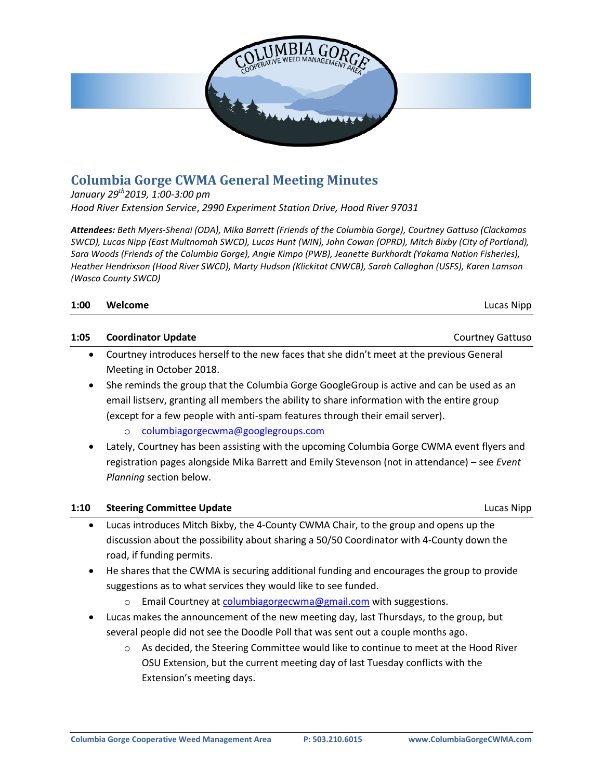

# **Columbia Gorge CWMA General Meeting Minutes**

*January 29th2019, 1:00-3:00 pm*

*Hood River Extension Service*, *2990 Experiment Station Drive, Hood River 97031* 

*Attendees: Beth Myers-Shenai (ODA), Mika Barrett (Friends of the Columbia Gorge), Courtney Gattuso (Clackamas SWCD), Lucas Nipp (East Multnomah SWCD), Lucas Hunt (WIN), John Cowan (OPRD), Mitch Bixby (City of Portland), Sara Woods (Friends of the Columbia Gorge), Angie Kimpo (PWB), Jeanette Burkhardt (Yakama Nation Fisheries), Heather Hendrixson (Hood River SWCD), Marty Hudson (Klickitat CNWCB), Sarah Callaghan (USFS), Karen Lamson (Wasco County SWCD)*

| Lucas Nipp |
|------------|
| Welcome    |

#### **1:05 Coordinator Update** Courtney Gattuso

- Courtney introduces herself to the new faces that she didn't meet at the previous General Meeting in October 2018.
- She reminds the group that the Columbia Gorge GoogleGroup is active and can be used as an email listserv, granting all members the ability to share information with the entire group (except for a few people with anti-spam features through their email server).
	- o [columbiagorgecwma@googlegroups.com](mailto:columbiagorgecwma@googlegroups.com)
- Lately, Courtney has been assisting with the upcoming Columbia Gorge CWMA event flyers and registration pages alongside Mika Barrett and Emily Stevenson (not in attendance) – see *Event Planning* section below.

#### **1:10 Steering Committee Update** Lucas Nipp

- Lucas introduces Mitch Bixby, the 4-County CWMA Chair, to the group and opens up the discussion about the possibility about sharing a 50/50 Coordinator with 4-County down the road, if funding permits.
- He shares that the CWMA is securing additional funding and encourages the group to provide suggestions as to what services they would like to see funded.
	- o Email Courtney at [columbiagorgecwma@gmail.com](mailto:columbiagorgecwma@gmail.com) with suggestions.
- Lucas makes the announcement of the new meeting day, last Thursdays, to the group, but several people did not see the Doodle Poll that was sent out a couple months ago.
	- o As decided, the Steering Committee would like to continue to meet at the Hood River OSU Extension, but the current meeting day of last Tuesday conflicts with the Extension's meeting days.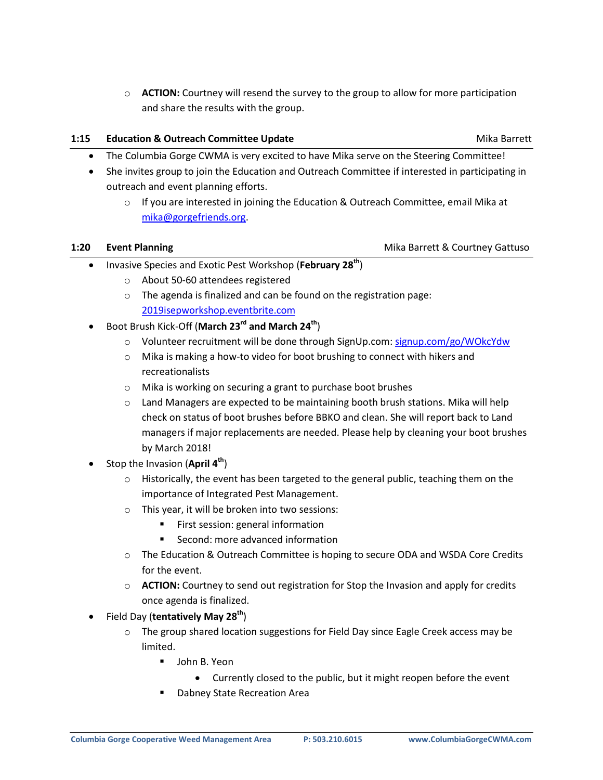o **ACTION:** Courtney will resend the survey to the group to allow for more participation and share the results with the group.

### **1:15 Education & Outreach Committee Update Microsoft Committee Update Mika Barrett**

- The Columbia Gorge CWMA is very excited to have Mika serve on the Steering Committee!
- She invites group to join the Education and Outreach Committee if interested in participating in outreach and event planning efforts.
	- $\circ$  If you are interested in joining the Education & Outreach Committee, email Mika at [mika@gorgefriends.org.](mailto:mika@gorgefriends.org)

#### **1:20 • Event Planning <b>Event Planning Mike Barrett & Courtney Gattuso Mike Barrett & Courtney Gattuso**

- Invasive Species and Exotic Pest Workshop (**February 28th**)
	- o About 50-60 attendees registered
	- o The agenda is finalized and can be found on the registration page: [2019isepworkshop.eventbrite.com](https://www.eventbrite.com/e/8th-annual-columbia-gorge-invasive-species-and-exotic-pest-workshop-tickets-43754125768)
- Boot Brush Kick-Off (**March 23rd and March 24th**)
	- o Volunteer recruitment will be done through SignUp.com: [signup.com/go/WOkcYdw](http://signup.com/go/WOkcYdw)
	- o Mika is making a how-to video for boot brushing to connect with hikers and recreationalists
	- o Mika is working on securing a grant to purchase boot brushes
	- $\circ$  Land Managers are expected to be maintaining booth brush stations. Mika will help check on status of boot brushes before BBKO and clean. She will report back to Land managers if major replacements are needed. Please help by cleaning your boot brushes by March 2018!
- Stop the Invasion (**April 4th**)
	- $\circ$  Historically, the event has been targeted to the general public, teaching them on the importance of Integrated Pest Management.
	- o This year, it will be broken into two sessions:
		- **First session: general information**
		- Second: more advanced information
	- o The Education & Outreach Committee is hoping to secure ODA and WSDA Core Credits for the event.
	- o **ACTION:** Courtney to send out registration for Stop the Invasion and apply for credits once agenda is finalized.
- Field Day (**tentatively May 28th**)
	- o The group shared location suggestions for Field Day since Eagle Creek access may be limited.
		- **John B. Yeon** 
			- Currently closed to the public, but it might reopen before the event
		- Dabney State Recreation Area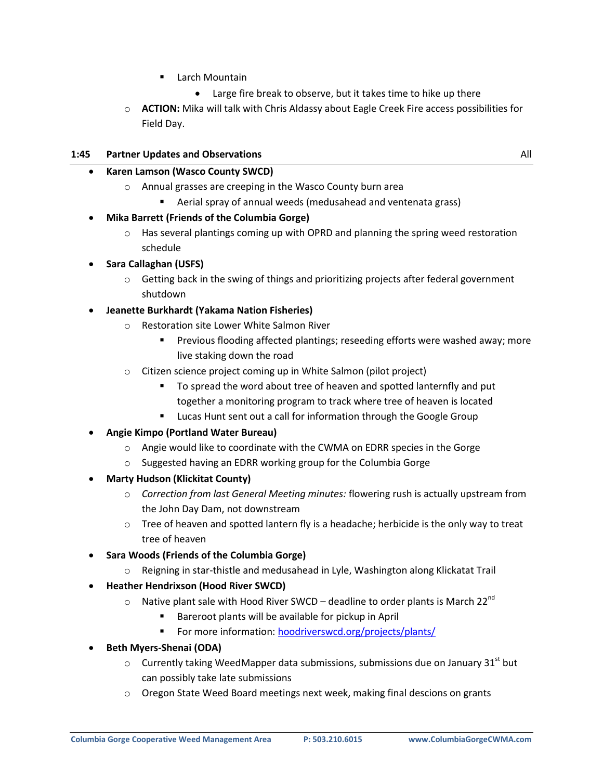- **E** Larch Mountain
	- Large fire break to observe, but it takes time to hike up there
- o **ACTION:** Mika will talk with Chris Aldassy about Eagle Creek Fire access possibilities for Field Day.

#### **1:45 Partner Updates and Observations** All

#### **Karen Lamson (Wasco County SWCD)**

- o Annual grasses are creeping in the Wasco County burn area
	- Aerial spray of annual weeds (medusahead and ventenata grass)

#### **Mika Barrett (Friends of the Columbia Gorge)**

- o Has several plantings coming up with OPRD and planning the spring weed restoration schedule
- **Sara Callaghan (USFS)**
	- $\circ$  Getting back in the swing of things and prioritizing projects after federal government shutdown

#### **Jeanette Burkhardt (Yakama Nation Fisheries)**

- o Restoration site Lower White Salmon River
	- Previous flooding affected plantings; reseeding efforts were washed away; more live staking down the road
- o Citizen science project coming up in White Salmon (pilot project)
	- To spread the word about tree of heaven and spotted lanternfly and put together a monitoring program to track where tree of heaven is located
	- **E** Lucas Hunt sent out a call for information through the Google Group
- **Angie Kimpo (Portland Water Bureau)**
	- $\circ$  Angie would like to coordinate with the CWMA on EDRR species in the Gorge
	- o Suggested having an EDRR working group for the Columbia Gorge
- **Marty Hudson (Klickitat County)**
	- o *Correction from last General Meeting minutes:* flowering rush is actually upstream from the John Day Dam, not downstream
	- $\circ$  Tree of heaven and spotted lantern fly is a headache; herbicide is the only way to treat tree of heaven
- **Sara Woods (Friends of the Columbia Gorge)**
	- $\circ$  Reigning in star-thistle and medusahead in Lyle, Washington along Klickatat Trail
- **Heather Hendrixson (Hood River SWCD)**
	- $\circ$  Native plant sale with Hood River SWCD deadline to order plants is March 22<sup>nd</sup>
		- Bareroot plants will be available for pickup in April
		- For more information: [hoodriverswcd.org/projects/plants/](http://hoodriverswcd.org/projects/plants/)
- **Beth Myers-Shenai (ODA)**
	- $\circ$  Currently taking WeedMapper data submissions, submissions due on January 31<sup>st</sup> but can possibly take late submissions
	- o Oregon State Weed Board meetings next week, making final descions on grants